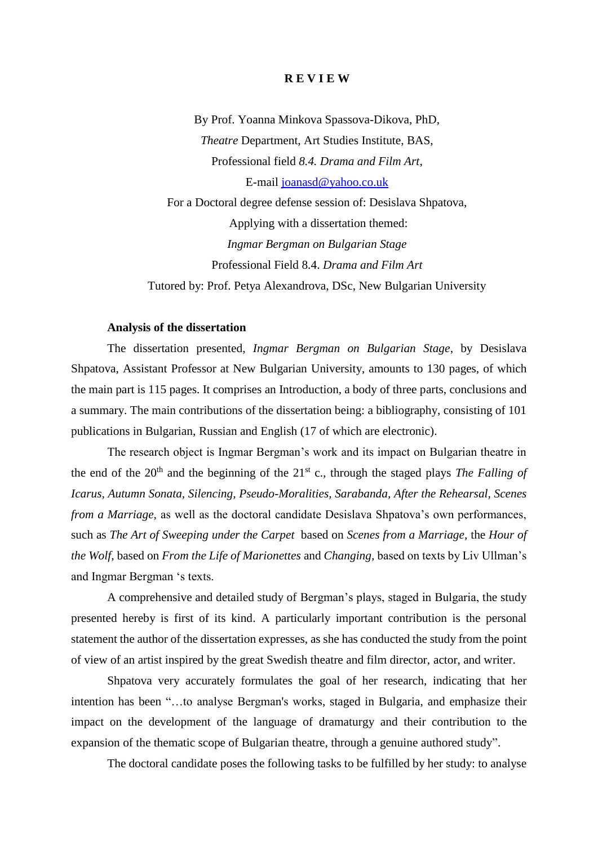## **R E V I E W**

By Prof. Yoanna Minkova Spassova-Dikova, PhD, *Theatre* Department, Art Studies Institute, BAS, Professional field *8.4. Drama and Film Art*, E-mail [joanasd@yahoo.co.uk](mailto:joanasd@yahoo.co.uk) For a Doctoral degree defense session of: Desislava Shpatova, Applying with a dissertation themed: *Ingmar Bergman on Bulgarian Stage*  Professional Field 8.4. *Drama and Film Art*  Tutored by: Prof. Petya Alexandrova, DSc, New Bulgarian University

### **Analysis of the dissertation**

The dissertation presented, *Ingmar Bergman on Bulgarian Stage*, by Desislava Shpatova, Assistant Professor at New Bulgarian University, amounts to 130 pages, of which the main part is 115 pages. It comprises an Introduction, a body of three parts, conclusions and a summary. The main contributions of the dissertation being: a bibliography, consisting of 101 publications in Bulgarian, Russian and English (17 of which are electronic).

The research object is Ingmar Bergman's work and its impact on Bulgarian theatre in the end of the  $20<sup>th</sup>$  and the beginning of the  $21<sup>st</sup>$  c., through the staged plays *The Falling of Icarus, Autumn Sonata, Silencing, Pseudo-Moralities, Sarabanda, After the Rehearsal, Scenes from a Marriage*, as well as the doctoral candidate Desislava Shpatova's own performances, such as *The Art of Sweeping under the Carpet* based on *Scenes from a Marriage,* the *Hour of the Wolf,* based on *From the Life of Marionettes* and *Changing,* based on texts by Liv Ullman's and Ingmar Bergman 's texts.

A comprehensive and detailed study of Bergman's plays, staged in Bulgaria, the study presented hereby is first of its kind. A particularly important contribution is the personal statement the author of the dissertation expresses, as she has conducted the study from the point of view of an artist inspired by the great Swedish theatre and film director, actor, and writer.

Shpatova very accurately formulates the goal of her research, indicating that her intention has been "…to analyse Bergman's works, staged in Bulgaria, and emphasize their impact on the development of the language of dramaturgy and their contribution to the expansion of the thematic scope of Bulgarian theatre, through a genuine authored study".

The doctoral candidate poses the following tasks to be fulfilled by her study: to analyse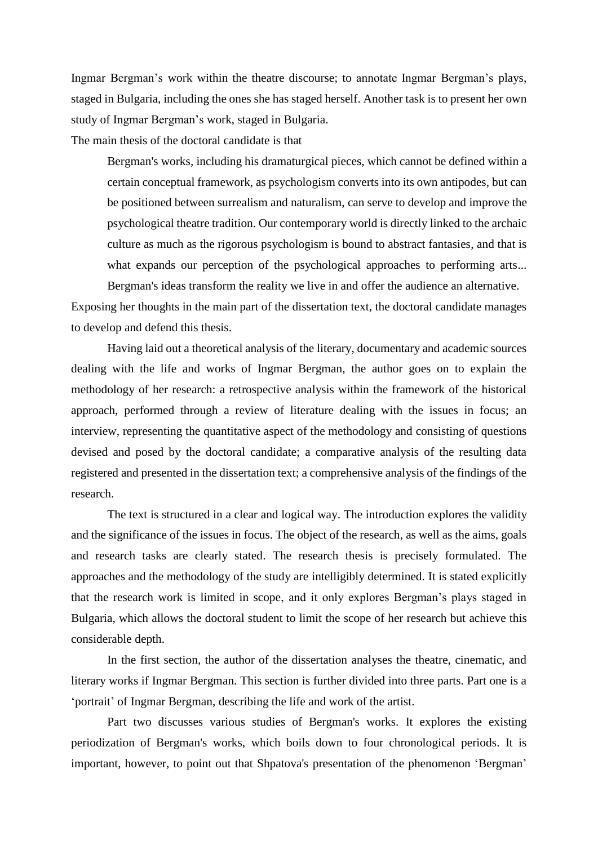Ingmar Bergman's work within the theatre discourse; to annotate Ingmar Bergman's plays, staged in Bulgaria, including the ones she has staged herself. Another task is to present her own study of Ingmar Bergman's work, staged in Bulgaria.

The main thesis of the doctoral candidate is that

Bergman's works, including his dramaturgical pieces, which cannot be defined within a certain conceptual framework, as psychologism converts into its own antipodes, but can be positioned between surrealism and naturalism, can serve to develop and improve the psychological theatre tradition. Our contemporary world is directly linked to the archaic culture as much as the rigorous psychologism is bound to abstract fantasies, and that is what expands our perception of the psychological approaches to performing arts... Bergman's ideas transform the reality we live in and offer the audience an alternative.

Exposing her thoughts in the main part of the dissertation text, the doctoral candidate manages to develop and defend this thesis.

Having laid out a theoretical analysis of the literary, documentary and academic sources dealing with the life and works of Ingmar Bergman, the author goes on to explain the methodology of her research: a retrospective analysis within the framework of the historical approach, performed through a review of literature dealing with the issues in focus; an interview, representing the quantitative aspect of the methodology and consisting of questions devised and posed by the doctoral candidate; a comparative analysis of the resulting data registered and presented in the dissertation text; a comprehensive analysis of the findings of the research.

The text is structured in a clear and logical way. The introduction explores the validity and the significance of the issues in focus. The object of the research, as well as the aims, goals and research tasks are clearly stated. The research thesis is precisely formulated. The approaches and the methodology of the study are intelligibly determined. It is stated explicitly that the research work is limited in scope, and it only explores Bergman's plays staged in Bulgaria, which allows the doctoral student to limit the scope of her research but achieve this considerable depth.

In the first section, the author of the dissertation analyses the theatre, cinematic, and literary works if Ingmar Bergman. This section is further divided into three parts. Part one is a 'portrait' of Ingmar Bergman, describing the life and work of the artist.

Part two discusses various studies of Bergman's works. It explores the existing periodization of Bergman's works, which boils down to four chronological periods. It is important, however, to point out that Shpatova's presentation of the phenomenon 'Bergman'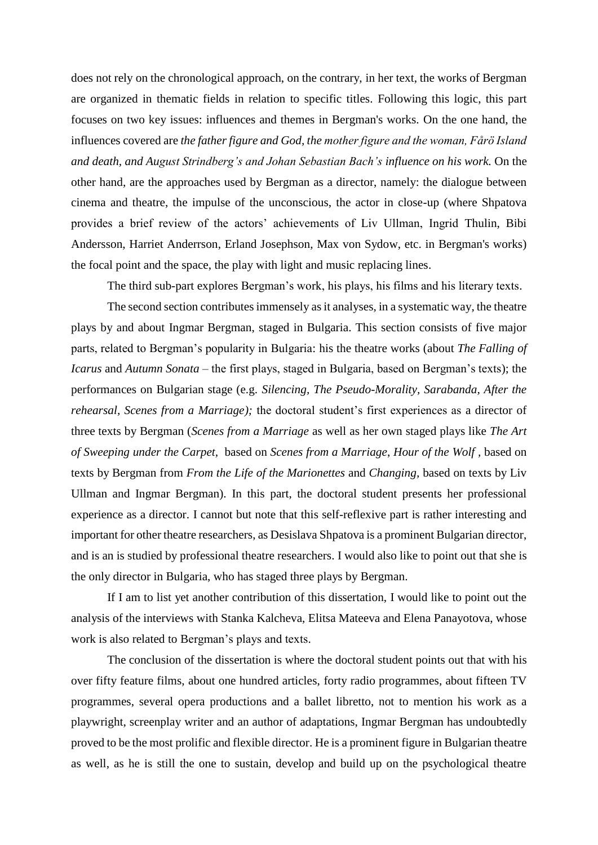does not rely on the chronological approach, on the contrary, in her text, the works of Bergman are organized in thematic fields in relation to specific titles. Following this logic, this part focuses on two key issues: influences and themes in Bergman's works. On the one hand, the influences covered are *the father figure and God, the mother figure and the woman, Fårö Island and death, and August Strindberg's and Johan Sebastian Bach's influence on his work.* On the other hand, are the approaches used by Bergman as a director, namely: the dialogue between cinema and theatre, the impulse of the unconscious, the actor in close-up (where Shpatova provides a brief review of the actors' achievements of Liv Ullman, Ingrid Thulin, Bibi Andersson, Harriet Anderrson, Erland Josephson, Max von Sydow, etc. in Bergman's works) the focal point and the space, the play with light and music replacing lines.

The third sub-part explores Bergman's work, his plays, his films and his literary texts.

The second section contributes immensely as it analyses, in a systematic way, the theatre plays by and about Ingmar Bergman, staged in Bulgaria. This section consists of five major parts, related to Bergman's popularity in Bulgaria: his the theatre works (about *The Falling of Icarus* and *Autumn Sonata –* the first plays, staged in Bulgaria, based on Bergman's texts); the performances on Bulgarian stage (e.g. *Silencing, The Pseudo-Morality, Sarabanda, After the rehearsal, Scenes from a Marriage);* the doctoral student's first experiences as a director of three texts by Bergman (*Scenes from a Marriage* as well as her own staged plays like *The Art of Sweeping under the Carpet,* based on *Scenes from a Marriage*, *Hour of the Wolf ,* based on texts by Bergman from *From the Life of the Marionettes* and *Changing,* based on texts by Liv Ullman and Ingmar Bergman). In this part, the doctoral student presents her professional experience as a director. I cannot but note that this self-reflexive part is rather interesting and important for other theatre researchers, as Desislava Shpatova is a prominent Bulgarian director, and is an is studied by professional theatre researchers. I would also like to point out that she is the only director in Bulgaria, who has staged three plays by Bergman.

If I am to list yet another contribution of this dissertation, I would like to point out the analysis of the interviews with Stanka Kalcheva, Elitsa Mateeva and Elena Panayotova, whose work is also related to Bergman's plays and texts.

The conclusion of the dissertation is where the doctoral student points out that with his over fifty feature films, about one hundred articles, forty radio programmes, about fifteen TV programmes, several opera productions and a ballet libretto, not to mention his work as a playwright, screenplay writer and an author of adaptations, Ingmar Bergman has undoubtedly proved to be the most prolific and flexible director. He is a prominent figure in Bulgarian theatre as well, as he is still the one to sustain, develop and build up on the psychological theatre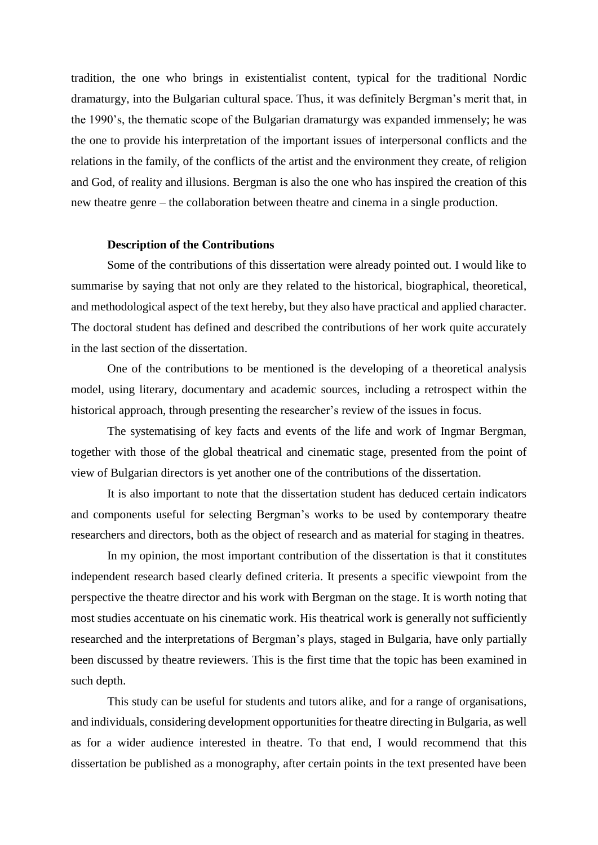tradition, the one who brings in existentialist content, typical for the traditional Nordic dramaturgy, into the Bulgarian cultural space. Thus, it was definitely Bergman's merit that, in the 1990's, the thematic scope of the Bulgarian dramaturgy was expanded immensely; he was the one to provide his interpretation of the important issues of interpersonal conflicts and the relations in the family, of the conflicts of the artist and the environment they create, of religion and God, of reality and illusions. Bergman is also the one who has inspired the creation of this new theatre genre – the collaboration between theatre and cinema in a single production.

### **Description of the Contributions**

Some of the contributions of this dissertation were already pointed out. I would like to summarise by saying that not only are they related to the historical, biographical, theoretical, and methodological aspect of the text hereby, but they also have practical and applied character. The doctoral student has defined and described the contributions of her work quite accurately in the last section of the dissertation.

One of the contributions to be mentioned is the developing of a theoretical analysis model, using literary, documentary and academic sources, including a retrospect within the historical approach, through presenting the researcher's review of the issues in focus.

The systematising of key facts and events of the life and work of Ingmar Bergman, together with those of the global theatrical and cinematic stage, presented from the point of view of Bulgarian directors is yet another one of the contributions of the dissertation.

It is also important to note that the dissertation student has deduced certain indicators and components useful for selecting Bergman's works to be used by contemporary theatre researchers and directors, both as the object of research and as material for staging in theatres.

In my opinion, the most important contribution of the dissertation is that it constitutes independent research based clearly defined criteria. It presents a specific viewpoint from the perspective the theatre director and his work with Bergman on the stage. It is worth noting that most studies accentuate on his cinematic work. His theatrical work is generally not sufficiently researched and the interpretations of Bergman's plays, staged in Bulgaria, have only partially been discussed by theatre reviewers. This is the first time that the topic has been examined in such depth.

This study can be useful for students and tutors alike, and for a range of organisations, and individuals, considering development opportunities for theatre directing in Bulgaria, as well as for a wider audience interested in theatre. To that end, I would recommend that this dissertation be published as a monography, after certain points in the text presented have been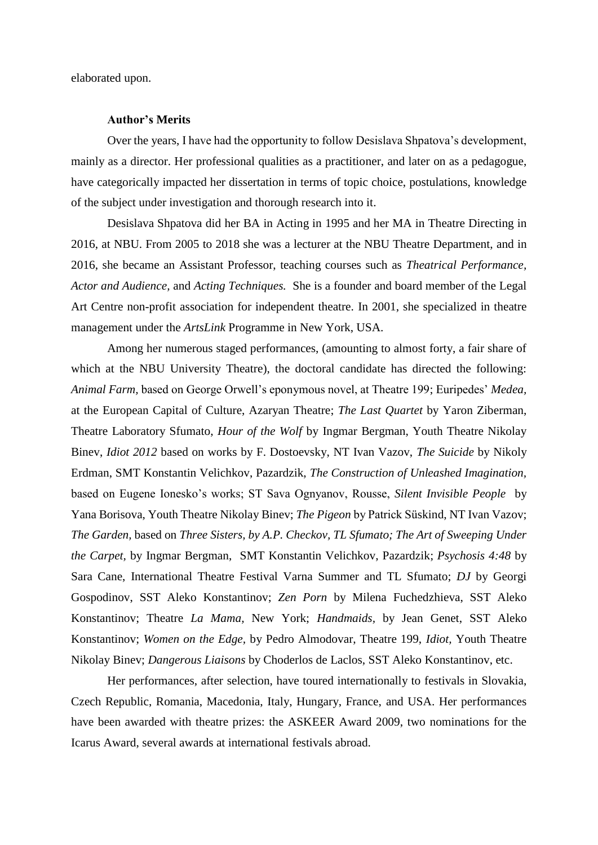elaborated upon.

# **Author's Merits**

Over the years, I have had the opportunity to follow Desislava Shpatova's development, mainly as a director. Her professional qualities as a practitioner, and later on as a pedagogue, have categorically impacted her dissertation in terms of topic choice, postulations, knowledge of the subject under investigation and thorough research into it.

Desislava Shpatova did her BA in Acting in 1995 and her MA in Theatre Directing in 2016, at NBU. From 2005 to 2018 she was a lecturer at the NBU Theatre Department, and in 2016, she became an Assistant Professor, teaching courses such as *Theatrical Performance, Actor and Audience,* and *Acting Techniques.* She is a founder and board member of the Legal Art Centre non-profit association for independent theatre. In 2001, she specialized in theatre management under the *ArtsLink* Programme in New York, USA.

Among her numerous staged performances, (amounting to almost forty, a fair share of which at the NBU University Theatre), the doctoral candidate has directed the following: *Animal Farm,* based on George Orwell's eponymous novel, at Theatre 199; Euripedes' *Medea,*  at the European Capital of Culture, Azaryan Theatre; *The Last Quartet* by Yaron Ziberman, Theatre Laboratory Sfumato, *Hour of the Wolf* by Ingmar Bergman, Youth Theatre Nikolay Binev, *Idiot 2012* based on works by F. Dostoevsky, NT Ivan Vazov, *The Suicide* by Nikoly Erdman, SMT Konstantin Velichkov, Pazardzik, *The Construction of Unleashed Imagination,*  based on Eugene Ionesko's works; ST Sava Ognyanov, Rousse, *Silent Invisible People* by Yana Borisova, Youth Theatre Nikolay Binev; *The Pigeon* by Patrick Süskind, NT Ivan Vazov; *The Garden,* based on *Three Sisters, by A.P. Checkov, TL Sfumato; The Art of Sweeping Under the Carpet,* by Ingmar Bergman, SMT Konstantin Velichkov, Pazardzik; *Psychosis 4:48* by Sara Cane, International Theatre Festival Varna Summer and TL Sfumato; *DJ* by Georgi Gospodinov, SST Aleko Konstantinov; *Zen Porn* by Milena Fuchedzhieva, SST Aleko Konstantinov; Theatre *La Mama,* New York; *Handmaids,* by Jean Genet, SST Aleko Konstantinov; *Women on the Edge,* by Pedro Almodovar, Theatre 199, *Idiot,* Youth Theatre Nikolay Binev; *Dangerous Liaisons* by Choderlos de Laclos, SST Aleko Konstantinov, etc.

Her performances, after selection, have toured internationally to festivals in Slovakia, Czech Republic, Romania, Macedonia, Italy, Hungary, France, and USA. Her performances have been awarded with theatre prizes: the ASKEER Award 2009, two nominations for the Icarus Award, several awards at international festivals abroad.